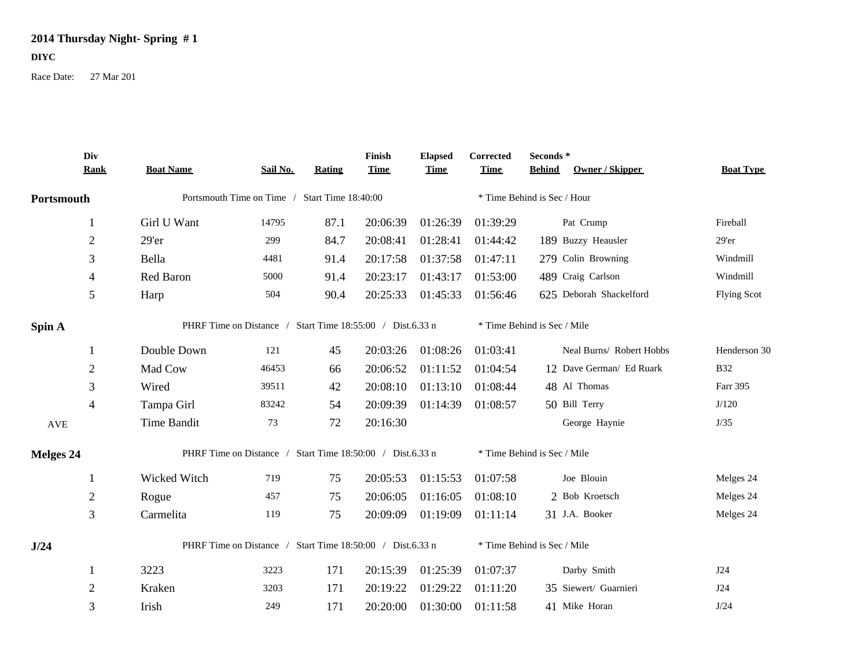## **2014 Thursday Night- Spring # 1**

## **DIYC**

Race Date: 27 Mar 201

|                      | Div<br><b>Rank</b> | <b>Boat Name</b>                                          | Sail No. | <b>Rating</b> | Finish<br><b>Time</b> | <b>Elapsed</b><br><b>Time</b> | Corrected<br><b>Time</b>    | Seconds *<br><b>Behind</b> | Owner / Skipper          | <b>Boat Type</b>   |
|----------------------|--------------------|-----------------------------------------------------------|----------|---------------|-----------------------|-------------------------------|-----------------------------|----------------------------|--------------------------|--------------------|
| Portsmouth           |                    | Portsmouth Time on Time / Start Time 18:40:00             |          |               |                       |                               | * Time Behind is Sec / Hour |                            |                          |                    |
|                      | 1                  | Girl U Want                                               | 14795    | 87.1          | 20:06:39              | 01:26:39                      | 01:39:29                    |                            | Pat Crump                | Fireball           |
|                      | $\overline{2}$     | $29'$ er                                                  | 299      | 84.7          | 20:08:41              | 01:28:41                      | 01:44:42                    |                            | 189 Buzzy Heausler       | 29'er              |
|                      | 3                  | Bella                                                     | 4481     | 91.4          | 20:17:58              | 01:37:58                      | 01:47:11                    |                            | 279 Colin Browning       | Windmill           |
|                      | 4                  | Red Baron                                                 | 5000     | 91.4          | 20:23:17              | 01:43:17                      | 01:53:00                    |                            | 489 Craig Carlson        | Windmill           |
|                      | 5                  | Harp                                                      | 504      | 90.4          | 20:25:33              | 01:45:33                      | 01:56:46                    |                            | 625 Deborah Shackelford  | <b>Flying Scot</b> |
| Spin A               |                    | PHRF Time on Distance / Start Time 18:55:00 / Dist.6.33 n |          |               |                       |                               | * Time Behind is Sec / Mile |                            |                          |                    |
|                      | 1                  | Double Down                                               | 121      | 45            | 20:03:26              | 01:08:26                      | 01:03:41                    |                            | Neal Burns/ Robert Hobbs | Henderson 30       |
|                      | $\overline{2}$     | Mad Cow                                                   | 46453    | 66            | 20:06:52              | 01:11:52                      | 01:04:54                    |                            | 12 Dave German/ Ed Ruark | <b>B32</b>         |
|                      | 3                  | Wired                                                     | 39511    | 42            | 20:08:10              | 01:13:10                      | 01:08:44                    |                            | 48 Al Thomas             | Farr 395           |
|                      | 4                  | Tampa Girl                                                | 83242    | 54            | 20:09:39              | 01:14:39                      | 01:08:57                    |                            | 50 Bill Terry            | J/120              |
| $\operatorname{AVE}$ |                    | Time Bandit                                               | 73       | 72            | 20:16:30              |                               |                             |                            | George Haynie            | J/35               |
| <b>Melges 24</b>     |                    | PHRF Time on Distance / Start Time 18:50:00 / Dist.6.33 n |          |               |                       |                               | * Time Behind is Sec / Mile |                            |                          |                    |
|                      |                    | Wicked Witch                                              | 719      | 75            | 20:05:53              | 01:15:53                      | 01:07:58                    |                            | Joe Blouin               | Melges 24          |
|                      | $\overline{2}$     | Rogue                                                     | 457      | 75            | 20:06:05              | 01:16:05                      | 01:08:10                    |                            | 2 Bob Kroetsch           | Melges 24          |
|                      | 3                  | Carmelita                                                 | 119      | 75            | 20:09:09              | 01:19:09                      | 01:11:14                    |                            | 31 J.A. Booker           | Melges 24          |
| J/24                 |                    | PHRF Time on Distance / Start Time 18:50:00 / Dist.6.33 n |          |               |                       |                               | * Time Behind is Sec / Mile |                            |                          |                    |
|                      | 1                  | 3223                                                      | 3223     | 171           | 20:15:39              | 01:25:39                      | 01:07:37                    |                            | Darby Smith              | J24                |
|                      | $\overline{2}$     | Kraken                                                    | 3203     | 171           | 20:19:22              | 01:29:22                      | 01:11:20                    |                            | 35 Siewert/ Guarnieri    | J24                |
|                      | 3                  | Irish                                                     | 249      | 171           | 20:20:00              | 01:30:00                      | 01:11:58                    |                            | 41 Mike Horan            | J/24               |